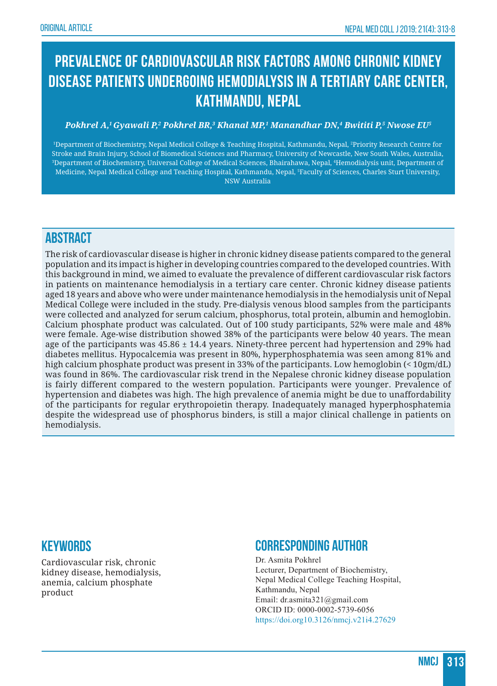# **Prevalence of cardiovascular risk factors among chronic kidney disease patients undergoing hemodialysis in a tertiary care center, Kathmandu, Nepal**

#### *Pokhrel A,1 Gyawali P,2 Pokhrel BR,3 Khanal MP,1 Manandhar DN,4 Bwititi P,5 Nwose EU5*

1 Department of Biochemistry, Nepal Medical College & Teaching Hospital, Kathmandu, Nepal, 2 Priority Research Centre for Stroke and Brain Injury, School of Biomedical Sciences and Pharmacy, University of Newcastle, New South Wales, Australia, 3 Department of Biochemistry, Universal College of Medical Sciences, Bhairahawa, Nepal, 4 Hemodialysis unit, Department of Medicine, Nepal Medical College and Teaching Hospital, Kathmandu, Nepal, 5 Faculty of Sciences, Charles Sturt University, NSW Australia

# **ABSTRACT**

The risk of cardiovascular disease is higher in chronic kidney disease patients compared to the general population and its impact is higher in developing countries compared to the developed countries. With this background in mind, we aimed to evaluate the prevalence of different cardiovascular risk factors in patients on maintenance hemodialysis in a tertiary care center. Chronic kidney disease patients aged 18 years and above who were under maintenance hemodialysis in the hemodialysis unit of Nepal Medical College were included in the study. Pre-dialysis venous blood samples from the participants were collected and analyzed for serum calcium, phosphorus, total protein, albumin and hemoglobin. Calcium phosphate product was calculated. Out of 100 study participants, 52% were male and 48% were female. Age-wise distribution showed 38% of the participants were below 40 years. The mean age of the participants was  $45.86 \pm 14.4$  years. Ninety-three percent had hypertension and 29% had diabetes mellitus. Hypocalcemia was present in 80%, hyperphosphatemia was seen among 81% and high calcium phosphate product was present in 33% of the participants. Low hemoglobin (< 10gm/dL) was found in 86%. The cardiovascular risk trend in the Nepalese chronic kidney disease population is fairly different compared to the western population. Participants were younger. Prevalence of hypertension and diabetes was high. The high prevalence of anemia might be due to unaffordability of the participants for regular erythropoietin therapy. Inadequately managed hyperphosphatemia despite the widespread use of phosphorus binders, is still a major clinical challenge in patients on hemodialysis.

#### **Keywords**

Cardiovascular risk, chronic kidney disease, hemodialysis, anemia, calcium phosphate product

#### **Corresponding author**

Dr. Asmita Pokhrel Lecturer, Department of Biochemistry, Nepal Medical College Teaching Hospital, Kathmandu, Nepal Email: dr.asmita321@gmail.com ORCID ID: 0000-0002-5739-6056 https://doi.org10.3126/nmcj.v21i4.27629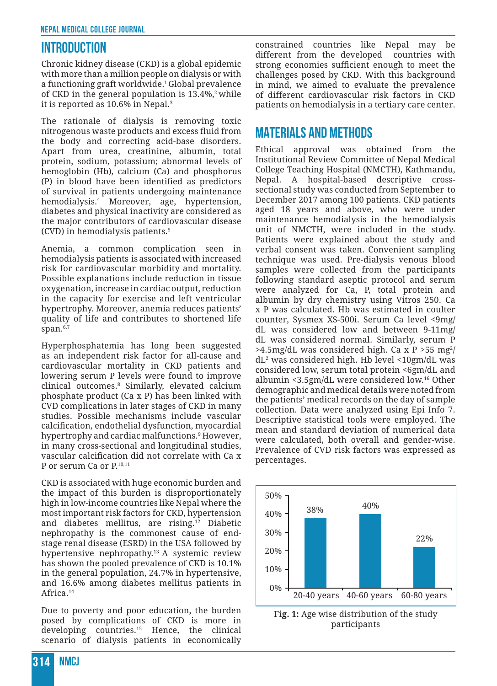### **INTRODUCTION**

Chronic kidney disease (CKD) is a global epidemic with more than a million people on dialysis or with a functioning graft worldwide.1 Global prevalence of CKD in the general population is  $13.4\%$ ,<sup>2</sup> while it is reported as 10.6% in Nepal.<sup>3</sup>

The rationale of dialysis is removing toxic nitrogenous waste products and excess fluid from the body and correcting acid-base disorders. Apart from urea, creatinine, albumin, total protein, sodium, potassium; abnormal levels of hemoglobin (Hb), calcium (Ca) and phosphorus (P) in blood have been identified as predictors of survival in patients undergoing maintenance hemodialysis.4 Moreover, age, hypertension, diabetes and physical inactivity are considered as the major contributors of cardiovascular disease (CVD) in hemodialysis patients.5

Anemia, a common complication seen in hemodialysis patients is associated with increased risk for cardiovascular morbidity and mortality. Possible explanations include reduction in tissue oxygenation, increase in cardiac output, reduction in the capacity for exercise and left ventricular hypertrophy. Moreover, anemia reduces patients' quality of life and contributes to shortened life span.<sup>6,7</sup>

Hyperphosphatemia has long been suggested as an independent risk factor for all-cause and cardiovascular mortality in CKD patients and lowering serum P levels were found to improve clinical outcomes.8 Similarly, elevated calcium phosphate product (Ca x P) has been linked with CVD complications in later stages of CKD in many studies. Possible mechanisms include vascular calcification, endothelial dysfunction, myocardial hypertrophy and cardiac malfunctions.9 However, in many cross-sectional and longitudinal studies, vascular calcification did not correlate with Ca x P or serum Ca or P.<sup>10,11</sup>

CKD is associated with huge economic burden and the impact of this burden is disproportionately high in low-income countries like Nepal where the most important risk factors for CKD, hypertension and diabetes mellitus, are rising.12 Diabetic nephropathy is the commonest cause of endstage renal disease (ESRD) in the USA followed by hypertensive nephropathy.13 A systemic review has shown the pooled prevalence of CKD is 10.1% in the general population, 24.7% in hypertensive, and 16.6% among diabetes mellitus patients in Africa.14

Due to poverty and poor education, the burden posed by complications of CKD is more in developing countries.15 Hence, the clinical scenario of dialysis patients in economically

constrained countries like Nepal may be different from the developed countries with strong economies sufficient enough to meet the challenges posed by CKD. With this background in mind, we aimed to evaluate the prevalence of different cardiovascular risk factors in CKD patients on hemodialysis in a tertiary care center.

# **MATERIALS AND METHODS**

Ethical approval was obtained from the Institutional Review Committee of Nepal Medical College Teaching Hospital (NMCTH), Kathmandu, Nepal. A hospital-based descriptive crosssectional study was conducted from September to December 2017 among 100 patients. CKD patients aged 18 years and above, who were under maintenance hemodialysis in the hemodialysis unit of NMCTH, were included in the study. Patients were explained about the study and verbal consent was taken. Convenient sampling technique was used. Pre-dialysis venous blood samples were collected from the participants following standard aseptic protocol and serum were analyzed for Ca, P, total protein and albumin by dry chemistry using Vitros 250. Ca x P was calculated. Hb was estimated in coulter counter, Sysmex XS-500i. Serum Ca level <9mg/ dL was considered low and between 9-11mg/ dL was considered normal. Similarly, serum P >4.5mg/dL was considered high. Ca x P >55 mg $^2\prime$ dL2 was considered high. Hb level <10gm/dL was considered low, serum total protein <6gm/dL and albumin <3.5gm/dL were considered low.16 Other demographic and medical details were noted from the patients' medical records on the day of sample collection. Data were analyzed using Epi Info 7. Descriptive statistical tools were employed. The mean and standard deviation of numerical data were calculated, both overall and gender-wise. Prevalence of CVD risk factors was expressed as percentages.



**Fig. 1:** Age wise distribution of the study participants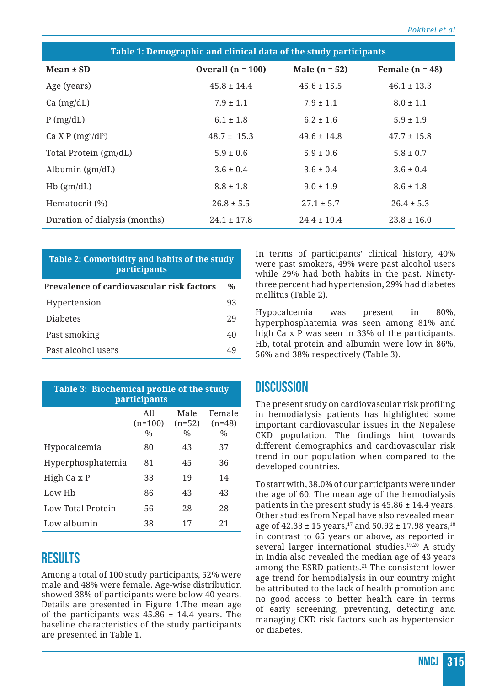| Table 1: Demographic and clinical data of the study participants |                     |                 |                   |  |  |
|------------------------------------------------------------------|---------------------|-----------------|-------------------|--|--|
| Mean $\pm$ SD                                                    | Overall $(n = 100)$ | Male $(n = 52)$ | Female $(n = 48)$ |  |  |
| Age (years)                                                      | $45.8 \pm 14.4$     | $45.6 \pm 15.5$ | $46.1 \pm 13.3$   |  |  |
| $Ca$ (mg/dL)                                                     | $7.9 \pm 1.1$       | $7.9 \pm 1.1$   | $8.0 \pm 1.1$     |  |  |
| $P$ (mg/dL)                                                      | $6.1 \pm 1.8$       | $6.2 \pm 1.6$   | $5.9 \pm 1.9$     |  |  |
| Ca X P $(mg^2/dl^2)$                                             | $48.7 \pm 15.3$     | $49.6 \pm 14.8$ | $47.7 \pm 15.8$   |  |  |
| Total Protein (gm/dL)                                            | $5.9 \pm 0.6$       | $5.9 \pm 0.6$   | $5.8 \pm 0.7$     |  |  |
| Albumin $(gm/dL)$                                                | $3.6 \pm 0.4$       | $3.6 \pm 0.4$   | $3.6 \pm 0.4$     |  |  |
| $Hb$ (gm/dL)                                                     | $8.8 \pm 1.8$       | $9.0 \pm 1.9$   | $8.6 \pm 1.8$     |  |  |
| Hematocrit (%)                                                   | $26.8 \pm 5.5$      | $27.1 \pm 5.7$  | $26.4 \pm 5.3$    |  |  |
| Duration of dialysis (months)                                    | $24.1 \pm 17.8$     | $24.4 \pm 19.4$ | $23.8 \pm 16.0$   |  |  |

| Table 2: Comorbidity and habits of the study |
|----------------------------------------------|
| <i>participants</i>                          |

| <b>Prevalence of cardiovascular risk factors</b> |    |  |
|--------------------------------------------------|----|--|
| Hypertension                                     | 93 |  |
| <b>Diabetes</b>                                  | 29 |  |
| Past smoking                                     | 40 |  |
| Past alcohol users                               | 49 |  |

| Table 3: Biochemical profile of the study<br>participants |                                   |                                   |                                     |  |  |
|-----------------------------------------------------------|-----------------------------------|-----------------------------------|-------------------------------------|--|--|
|                                                           | All<br>$(n=100)$<br>$\frac{0}{0}$ | Male<br>$(n=52)$<br>$\frac{0}{0}$ | Female<br>$(n=48)$<br>$\frac{0}{0}$ |  |  |
| Hypocalcemia                                              | 80                                | 43                                | 37                                  |  |  |
| Hyperphosphatemia                                         | 81                                | 45                                | 36                                  |  |  |
| High Ca x P                                               | 33                                | 19                                | 14                                  |  |  |
| Low Hb                                                    | 86                                | 43                                | 43                                  |  |  |
| Low Total Protein                                         | 56                                | 28                                | 28                                  |  |  |
| Low albumin                                               | 38                                | 17                                | 21                                  |  |  |

### **RESULTS**

Among a total of 100 study participants, 52% were male and 48% were female. Age-wise distribution showed 38% of participants were below 40 years. Details are presented in Figure 1.The mean age of the participants was  $45.86 \pm 14.4$  years. The baseline characteristics of the study participants are presented in Table 1.

In terms of participants' clinical history, 40% were past smokers, 49% were past alcohol users while 29% had both habits in the past. Ninetythree percent had hypertension, 29% had diabetes mellitus (Table 2).

Hypocalcemia was present in 80%, hyperphosphatemia was seen among 81% and high Ca x P was seen in 33% of the participants. Hb, total protein and albumin were low in 86%, 56% and 38% respectively (Table 3).

#### **DISCUSSION**

The present study on cardiovascular risk profiling in hemodialysis patients has highlighted some important cardiovascular issues in the Nepalese CKD population. The findings hint towards different demographics and cardiovascular risk trend in our population when compared to the developed countries.

To start with, 38.0% of our participants were under the age of 60. The mean age of the hemodialysis patients in the present study is  $45.86 \pm 14.4$  years. Other studies from Nepal have also revealed mean age of  $42.33 \pm 15$  years,<sup>17</sup> and  $50.92 \pm 17.98$  years,<sup>18</sup> in contrast to 65 years or above, as reported in several larger international studies.<sup>19,20</sup> A study in India also revealed the median age of 43 years among the ESRD patients.<sup>21</sup> The consistent lower age trend for hemodialysis in our country might be attributed to the lack of health promotion and no good access to better health care in terms of early screening, preventing, detecting and managing CKD risk factors such as hypertension or diabetes.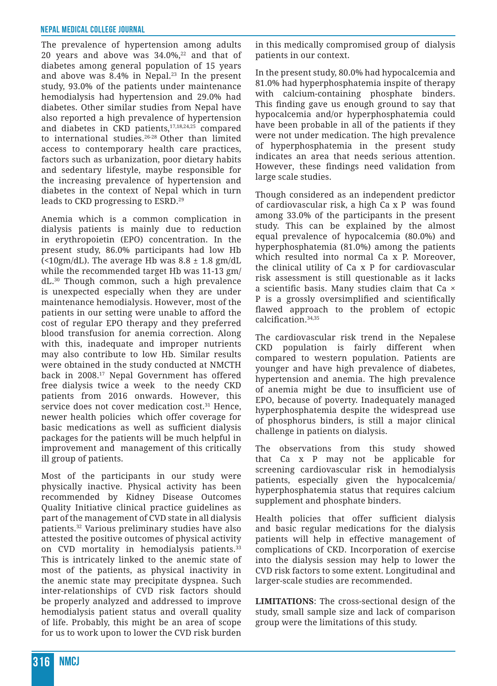The prevalence of hypertension among adults 20 years and above was  $34.0\%$ <sup>22</sup> and that of diabetes among general population of 15 years and above was  $8.4\%$  in Nepal.<sup>23</sup> In the present study, 93.0% of the patients under maintenance hemodialysis had hypertension and 29.0% had diabetes. Other similar studies from Nepal have also reported a high prevalence of hypertension and diabetes in CKD patients,<sup>17,18,24,25</sup> compared to international studies.26-28 Other than limited access to contemporary health care practices, factors such as urbanization, poor dietary habits and sedentary lifestyle, maybe responsible for the increasing prevalence of hypertension and diabetes in the context of Nepal which in turn leads to CKD progressing to ESRD.29

Anemia which is a common complication in dialysis patients is mainly due to reduction in erythropoietin (EPO) concentration. In the present study, 86.0% participants had low Hb (<10gm/dL). The average Hb was  $8.8 \pm 1.8$  gm/dL while the recommended target Hb was 11-13 gm/ dL.30 Though common, such a high prevalence is unexpected especially when they are under maintenance hemodialysis. However, most of the patients in our setting were unable to afford the cost of regular EPO therapy and they preferred blood transfusion for anemia correction. Along with this, inadequate and improper nutrients may also contribute to low Hb. Similar results were obtained in the study conducted at NMCTH back in 2008.17 Nepal Government has offered free dialysis twice a week to the needy CKD patients from 2016 onwards. However, this service does not cover medication cost.<sup>31</sup> Hence, newer health policies which offer coverage for basic medications as well as sufficient dialysis packages for the patients will be much helpful in improvement and management of this critically ill group of patients.

Most of the participants in our study were physically inactive. Physical activity has been recommended by Kidney Disease Outcomes Quality Initiative clinical practice guidelines as part of the management of CVD state in all dialysis patients.32 Various preliminary studies have also attested the positive outcomes of physical activity on CVD mortality in hemodialysis patients.<sup>33</sup> This is intricately linked to the anemic state of most of the patients, as physical inactivity in the anemic state may precipitate dyspnea. Such inter-relationships of CVD risk factors should be properly analyzed and addressed to improve hemodialysis patient status and overall quality of life. Probably, this might be an area of scope for us to work upon to lower the CVD risk burden

in this medically compromised group of dialysis patients in our context.

In the present study, 80.0% had hypocalcemia and 81.0% had hyperphosphatemia inspite of therapy with calcium-containing phosphate binders. This finding gave us enough ground to say that hypocalcemia and/or hyperphosphatemia could have been probable in all of the patients if they were not under medication. The high prevalence of hyperphosphatemia in the present study indicates an area that needs serious attention. However, these findings need validation from large scale studies.

Though considered as an independent predictor of cardiovascular risk, a high Ca x P was found among 33.0% of the participants in the present study. This can be explained by the almost equal prevalence of hypocalcemia (80.0%) and hyperphosphatemia (81.0%) among the patients which resulted into normal Ca x P. Moreover, the clinical utility of Ca x P for cardiovascular risk assessment is still questionable as it lacks a scientific basis. Many studies claim that Ca × P is a grossly oversimplified and scientifically flawed approach to the problem of ectopic calcification.34,35

The cardiovascular risk trend in the Nepalese CKD population is fairly different when compared to western population. Patients are younger and have high prevalence of diabetes, hypertension and anemia. The high prevalence of anemia might be due to insufficient use of EPO, because of poverty. Inadequately managed hyperphosphatemia despite the widespread use of phosphorus binders, is still a major clinical challenge in patients on dialysis.

The observations from this study showed that Ca x P may not be applicable for screening cardiovascular risk in hemodialysis patients, especially given the hypocalcemia/ hyperphosphatemia status that requires calcium supplement and phosphate binders.

Health policies that offer sufficient dialysis and basic regular medications for the dialysis patients will help in effective management of complications of CKD. Incorporation of exercise into the dialysis session may help to lower the CVD risk factors to some extent. Longitudinal and larger-scale studies are recommended.

**LIMITATIONS**: The cross-sectional design of the study, small sample size and lack of comparison group were the limitations of this study.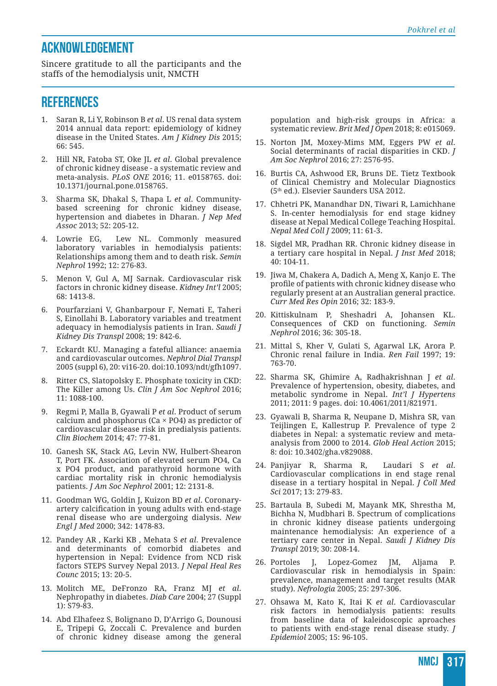# **ACKNOWLEDGEMENT**

Sincere gratitude to all the participants and the staffs of the hemodialysis unit, NMCTH

# **REFERENCES**

- 1. Saran R, Li Y, Robinson B *et al*. US renal data system 2014 annual data report: epidemiology of kidney disease in the United States. *Am J Kidney Dis* 2015; 66: 545.
- 2. Hill NR, Fatoba ST, Oke JL *et al*. Global prevalence of chronic kidney disease - a systematic review and meta-analysis. *PLoS ONE* 2016; 11. e0158765. doi: 10.1371/journal.pone.0158765.
- 3. Sharma SK, Dhakal S, Thapa L *et al*. Communitybased screening for chronic kidney disease, hypertension and diabetes in Dharan. *J Nep Med Assoc* 2013; 52: 205-12.
- 4. Lowrie EG, Lew NL. Commonly measured laboratory variables in hemodialysis patients: Relationships among them and to death risk. *Semin Nephrol* 1992; 12: 276-83.
- 5. Menon V, Gul A, MJ Sarnak. Cardiovascular risk factors in chronic kidney disease. *Kidney Int'l* 2005; 68: 1413-8.
- 6. Pourfarziani V, Ghanbarpour F, Nemati E, Taheri S, Einollahi B. Laboratory variables and treatment adequacy in hemodialysis patients in Iran. *Saudi J Kidney Dis Transpl* 2008; 19: 842-6.
- 7. Eckardt KU. Managing a fateful alliance: anaemia and cardiovascular outcomes. *Nephrol Dial Transpl* 2005 (suppl 6), 20: vi16-20. doi:10.1093/ndt/gfh1097.
- 8. Ritter CS, Slatopolsky E. Phosphate toxicity in CKD: The Killer among Us. *Clin J Am Soc Nephrol* 2016; 11: 1088-100.
- 9. Regmi P, Malla B, Gyawali P *et al*. Product of serum calcium and phosphorus ( $Ca \times PO4$ ) as predictor of cardiovascular disease risk in predialysis patients. *Clin Biochem* 2014; 47: 77-81.
- 10. Ganesh SK, Stack AG, Levin NW, Hulbert-Shearon T, Port FK. Association of elevated serum PO4, Ca x PO4 product, and parathyroid hormone with cardiac mortality risk in chronic hemodialysis patients. *J Am Soc Nephrol* 2001; 12: 2131-8.
- 11. Goodman WG, Goldin J, Kuizon BD *et al*. Coronaryartery calcification in young adults with end-stage renal disease who are undergoing dialysis. *New Engl J Med* 2000; 342: 1478-83.
- 12. Pandey AR , Karki KB , Mehata S *et al*. Prevalence and determinants of comorbid diabetes and hypertension in Nepal: Evidence from NCD risk factors STEPS Survey Nepal 2013. *J Nepal Heal Res Counc* 2015; 13: 20-5.
- 13. Molitch ME, DeFronzo RA, Franz MJ *et al*. Nephropathy in diabetes. *Diab Care* 2004; 27 (Suppl 1): S79-83.
- 14. Abd Elhafeez S, Bolignano D, D'Arrigo G, Dounousi E, Tripepi G, Zoccali C. Prevalence and burden of chronic kidney disease among the general

population and high-risk groups in Africa: a systematic review. *Brit Med J Open* 2018; 8: e015069.

- 15. Norton JM, Moxey-Mims MM, Eggers PW *et al*. Social determinants of racial disparities in CKD. *J Am Soc Nephrol* 2016; 27: 2576-95.
- 16. Burtis CA, Ashwood ER, Bruns DE. Tietz Textbook of Clinical Chemistry and Molecular Diagnostics (5th ed.). Elsevier Saunders USA 2012.
- 17. Chhetri PK, Manandhar DN, Tiwari R, Lamichhane S. In-center hemodialysis for end stage kidney disease at Nepal Medical College Teaching Hospital. *Nepal Med Coll J* 2009; 11: 61-3.
- 18. Sigdel MR, Pradhan RR. Chronic kidney disease in a tertiary care hospital in Nepal. *J Inst Med* 2018; 40: 104-11.
- 19. Jiwa M, Chakera A, Dadich A, Meng X, Kanjo E. The profile of patients with chronic kidney disease who regularly present at an Australian general practice. *Curr Med Res Opin* 2016; 32: 183-9.
- 20. Kittiskulnam P, Sheshadri A, Johansen KL. Consequences of CKD on functioning. *Semin Nephrol* 2016; 36: 305-18.
- 21. Mittal S, Kher V, Gulati S, Agarwal LK, Arora P. Chronic renal failure in India. *Ren Fail* 1997; 19: 763-70.
- 22. Sharma SK, Ghimire A, Radhakrishnan J *et al*. Prevalence of hypertension, obesity, diabetes, and metabolic syndrome in Nepal. *Int'l J Hypertens*  2011; 2011: 9 pages. doi: 10.4061/2011/821971.
- 23. Gyawali B, Sharma R, Neupane D, Mishra SR, van Teijlingen E, Kallestrup P. Prevalence of type 2 diabetes in Nepal: a systematic review and metaanalysis from 2000 to 2014. *Glob Heal Action* 2015; 8: doi: 10.3402/gha.v829088.
- 24. Panjiyar R, Sharma R, Laudari S *et al*. Cardiovascular complications in end stage renal disease in a tertiary hospital in Nepal. *J Coll Med Sci* 2017; 13: 279-83.
- 25. Bartaula B, Subedi M, Mayank MK, Shrestha M, Bichha N, Mudbhari B. Spectrum of complications in chronic kidney disease patients undergoing maintenance hemodialysis: An experience of a tertiary care center in Nepal. *Saudi J Kidney Dis Transpl* 2019; 30: 208-14.
- 26. Portoles J, Lopez-Gomez JM, Aljama P. Cardiovascular risk in hemodialysis in Spain: prevalence, management and target results (MAR study). *Nefrologia* 2005; 25: 297-306.
- 27. Ohsawa M, Kato K, Itai K *et al*. Cardiovascular risk factors in hemodialysis patients: results from baseline data of kaleidoscopic aproaches to patients with end-stage renal disease study. *J Epidemiol* 2005; 15: 96-105.